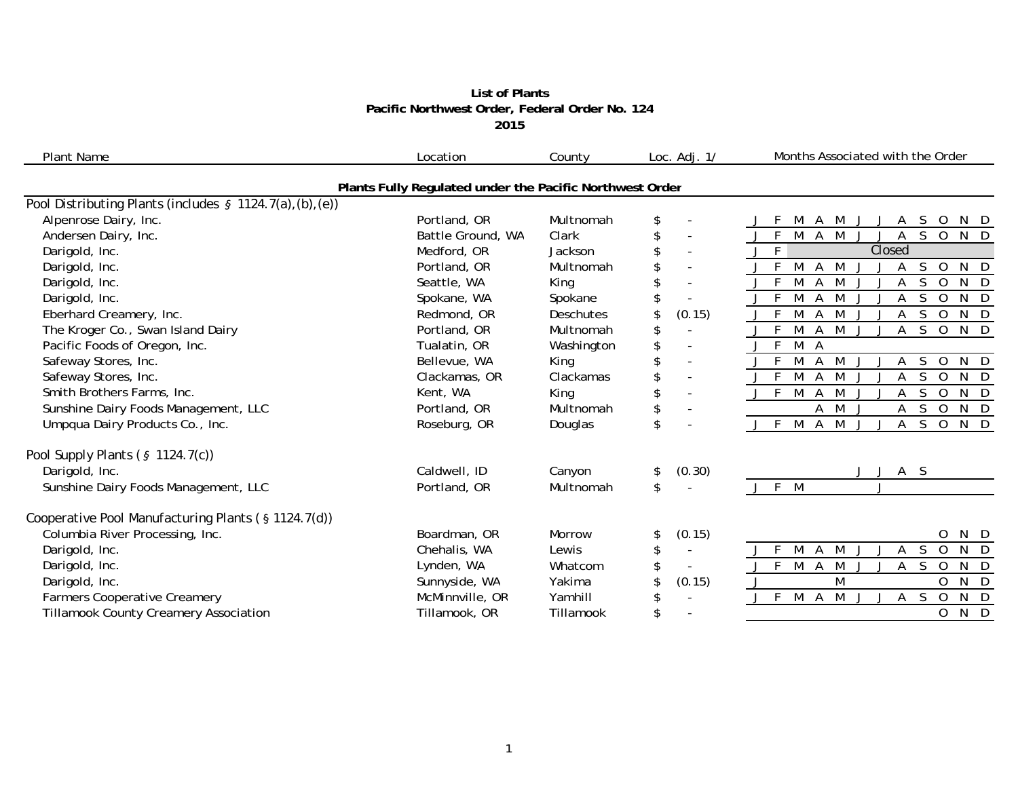## **List of Plants Pacific Northwest Order, Federal Order No. 124 2015**

| <b>Plant Name</b>                                         | Location                                                 | County        | Loc. $Adj. 1/$                 | Months Associated with the Order                                                                |
|-----------------------------------------------------------|----------------------------------------------------------|---------------|--------------------------------|-------------------------------------------------------------------------------------------------|
|                                                           | Plants Fully Regulated under the Pacific Northwest Order |               |                                |                                                                                                 |
| Pool Distributing Plants (includes § 1124.7(a), (b), (e)) |                                                          |               |                                |                                                                                                 |
| Alpenrose Dairy, Inc.                                     | Portland, OR                                             | Multnomah     | \$                             | A M<br>S.<br>$\circ$<br>M<br>A<br>N D<br>J                                                      |
| Andersen Dairy, Inc.                                      | Battle Ground, WA                                        | Clark         | \$<br>$\blacksquare$           | $\mathsf{F}$<br><b>M</b><br>$A \overline{M}$<br>$S$ O<br>N D<br>A                               |
| Darigold, Inc.                                            | Medford, OR                                              | Jackson       | $\overline{\phantom{a}}$       | $J$ F<br>Closed                                                                                 |
| Darigold, Inc.                                            | Portland, OR                                             | Multnomah     | \$<br>$\sim$                   | S<br>$\overline{0}$<br>$N$ D<br>M<br>M<br>A<br>J<br>Α                                           |
| Darigold, Inc.                                            | Seattle, WA                                              | King          | \$<br>$\blacksquare$           | M<br>F<br>M<br>S<br>$\Omega$<br>$N$ D<br>$\mathsf{A}$<br>А                                      |
| Darigold, Inc.                                            | Spokane, WA                                              | Spokane       |                                | M<br>M<br>S<br>$\mathbf 0$<br>N<br>$\mathsf{D}$<br>Α                                            |
| Eberhard Creamery, Inc.                                   | Redmond, OR                                              | Deschutes     | (0.15)<br>\$                   | S<br>$N$ D<br>M<br>M<br>$\Omega$<br>A                                                           |
| The Kroger Co., Swan Island Dairy                         | Portland, OR                                             | Multnomah     | \$                             | $\mathsf{S}$<br>$N$ D<br>E<br>M<br>M<br>$\overline{O}$<br>A<br>A                                |
| Pacific Foods of Oregon, Inc.                             | Tualatin, OR                                             | Washington    | \$                             | $\mathsf{F}$<br>M<br>- A                                                                        |
| Safeway Stores, Inc.                                      | Bellevue, WA                                             | King          | \$<br>$\overline{\phantom{a}}$ | F.<br>M<br>M<br>N D<br>A<br>S<br>$\Omega$<br>А                                                  |
| Safeway Stores, Inc.                                      | Clackamas, OR                                            | Clackamas     | \$<br>$\sim$                   | $J \overline{F}$<br>M<br>$\mathsf{S}$<br>M<br>$\mathbf 0$<br>$N$ D<br>A<br>А                    |
| Smith Brothers Farms, Inc.                                | Kent, WA                                                 | King          | \$<br>$\overline{\phantom{a}}$ | $J$ F<br>M<br>M<br>S.<br>$N$ D<br>$\overline{A}$<br>$\Omega$<br>A                               |
| Sunshine Dairy Foods Management, LLC                      | Portland, OR                                             | Multnomah     | \$                             | M<br>S<br>$\overline{O}$<br>$N$ $\overline{D}$<br>Α<br>Α                                        |
| Umpqua Dairy Products Co., Inc.                           | Roseburg, OR                                             | Douglas       | \$<br>$\overline{\phantom{a}}$ | M<br>M<br><sub>S</sub><br>N D<br>$J$ F<br>$\overline{A}$<br>$\mathsf{J}$<br>Α<br>$\overline{0}$ |
| Pool Supply Plants $(§ 1124.7(c))$                        |                                                          |               |                                |                                                                                                 |
| Darigold, Inc.                                            | Caldwell, ID                                             | Canyon        | (0.30)<br>\$                   | A S<br>J<br>J                                                                                   |
| Sunshine Dairy Foods Management, LLC                      | Portland, OR                                             | Multnomah     | \$                             | J F M                                                                                           |
| Cooperative Pool Manufacturing Plants (§ 1124.7(d))       |                                                          |               |                                |                                                                                                 |
| Columbia River Processing, Inc.                           | Boardman, OR                                             | <b>Morrow</b> | (0.15)<br>\$                   | 0<br>N D                                                                                        |
| Darigold, Inc.                                            | Chehalis, WA                                             | Lewis         | \$<br>$\sim$                   | F.<br>M<br>$\Box$<br>M<br><sub>S</sub><br>$\Omega$<br>N<br>A<br>А                               |
| Darigold, Inc.                                            | Lynden, WA                                               | Whatcom       | S.<br>$\blacksquare$           | M<br>F.<br>M<br><sub>S</sub><br>$\overline{A}$<br>$\Omega$<br>N<br>$\Box$<br>A                  |
| Darigold, Inc.                                            | Sunnyside, WA                                            | Yakima        | (0.15)                         | $N$ D<br>M<br>O                                                                                 |
| <b>Farmers Cooperative Creamery</b>                       | McMinnville, OR                                          | Yamhill       | \$                             | M A M<br>A S<br>$\overline{0}$<br>N D<br>F<br>J<br>IJ<br>J                                      |
| <b>Tillamook County Creamery Association</b>              | Tillamook, OR                                            | Tillamook     | \$                             | N D<br>$\overline{0}$                                                                           |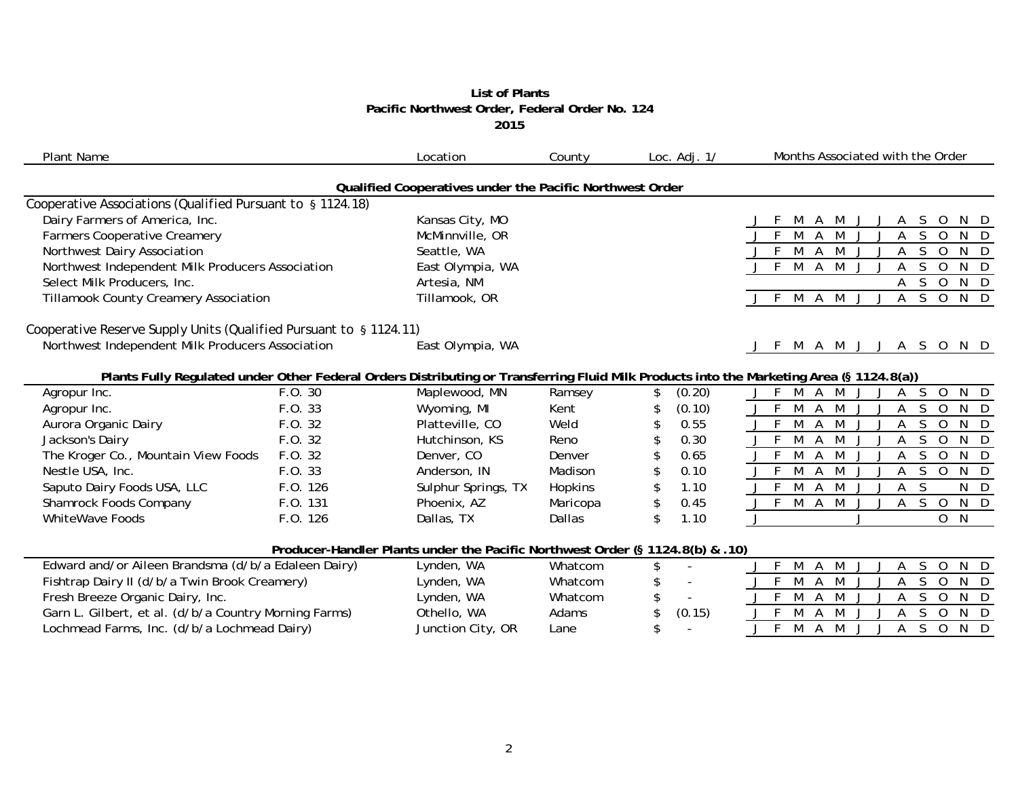### **List of Plants Pacific Northwest Order, Federal Order No. 124 2015**

| <b>Plant Name</b>                                                                                                                        |          | Location                                                                      | County   | Loc. $Adj. 1/$       | Months Associated with the Order                                                                |
|------------------------------------------------------------------------------------------------------------------------------------------|----------|-------------------------------------------------------------------------------|----------|----------------------|-------------------------------------------------------------------------------------------------|
|                                                                                                                                          |          | Qualified Cooperatives under the Pacific Northwest Order                      |          |                      |                                                                                                 |
| Cooperative Associations (Qualified Pursuant to § 1124.18)                                                                               |          |                                                                               |          |                      |                                                                                                 |
| Dairy Farmers of America, Inc.                                                                                                           |          | Kansas City, MO                                                               |          |                      | M<br>S.<br>$\circ$<br>N D<br>A<br>M                                                             |
| <b>Farmers Cooperative Creamery</b>                                                                                                      |          | McMinnville, OR                                                               |          |                      | $\overline{\mathsf{S}}$<br>M<br><b>M</b><br>$N$ D<br>F<br>A<br>$\overline{A}$<br>$\overline{O}$ |
| Northwest Dairy Association                                                                                                              |          | Seattle, WA                                                                   |          |                      | M<br>N D<br>A<br>M<br>S.<br>$\circ$<br>Α                                                        |
| Northwest Independent Milk Producers Association                                                                                         |          | East Olympia, WA                                                              |          |                      | M A M<br><sub>S</sub><br>$N$ D<br>F.<br>$\overline{0}$<br>A                                     |
| Select Milk Producers, Inc.                                                                                                              |          | Artesia, NM                                                                   |          |                      | $S$ O<br>N D<br>A                                                                               |
| <b>Tillamook County Creamery Association</b>                                                                                             |          | Tillamook, OR                                                                 |          |                      | N D<br>M<br>M<br>S<br>$\overline{0}$<br>A<br>Α                                                  |
| Cooperative Reserve Supply Units (Qualified Pursuant to § 1124.11)                                                                       |          |                                                                               |          |                      |                                                                                                 |
| Northwest Independent Milk Producers Association                                                                                         |          | East Olympia, WA                                                              |          |                      | M A M J J A S O<br>N D                                                                          |
| Plants Fully Regulated under Other Federal Orders Distributing or Transferring Fluid Milk Products into the Marketing Area (§ 1124.8(a)) |          |                                                                               |          |                      |                                                                                                 |
| Agropur Inc.                                                                                                                             | F.O. 30  | Maplewood, MN                                                                 | Ramsey   | (0.20)<br>\$         | F<br>M<br>$N$ D<br>S.<br>$\overline{0}$<br>A<br>M                                               |
| Agropur Inc.                                                                                                                             | F.0.33   | Wyoming, MI                                                                   | Kent     | (0.10)<br>\$         | M<br>S.<br>$N$ D<br>-F<br>$\overline{A}$<br>M<br>$\overline{O}$<br>A                            |
| Aurora Organic Dairy                                                                                                                     | F.0.32   | Platteville, CO                                                               | Weld     | 0.55                 | M<br>S.<br>N D<br>A<br>M<br>$\overline{0}$<br>A                                                 |
| Jackson's Dairy                                                                                                                          | F.O. 32  | Hutchinson, KS                                                                | Reno     | 0.30                 | N D<br>F<br>M<br>S<br>A<br>$\Omega$<br>M                                                        |
| The Kroger Co., Mountain View Foods                                                                                                      | F.0.32   | Denver, CO                                                                    | Denver   | 0.65<br>\$           | <sub>S</sub><br>F<br>M<br>A<br>$\overline{0}$<br>N D<br>M<br>Α                                  |
| Nestle USA, Inc.                                                                                                                         | F.O. 33  | Anderson, IN                                                                  | Madison  | 0.10<br>\$           | N D<br>M<br>S<br>Α<br>M<br>$\overline{0}$<br>Α                                                  |
| Saputo Dairy Foods USA, LLC                                                                                                              | F.O. 126 | Sulphur Springs, TX                                                           | Hopkins  | 1.10<br>\$           | F<br>M<br>S<br>N D<br>A<br>M<br>А                                                               |
| Shamrock Foods Company                                                                                                                   | F.O. 131 | Phoenix, AZ                                                                   | Maricopa | \$<br>0.45           | $\overline{M}$<br>$\overline{\mathsf{S}}$<br>$N$ D<br>F<br>A M<br>$\overline{O}$<br>A           |
| <b>WhiteWave Foods</b>                                                                                                                   | F.O. 126 | Dallas, TX                                                                    | Dallas   | \$<br>1.10           | N<br>J<br>$\Omega$                                                                              |
|                                                                                                                                          |          | Producer-Handler Plants under the Pacific Northwest Order (§ 1124.8(b) & .10) |          |                      |                                                                                                 |
| Edward and/or Aileen Brandsma (d/b/a Edaleen Dairy)                                                                                      |          | Lynden, WA                                                                    | Whatcom  | \$<br>$\blacksquare$ | M<br>A<br>S<br>N D<br>M<br>А<br>0                                                               |
| Fishtrap Dairy II (d/b/a Twin Brook Creamery)                                                                                            |          | Lynden, WA                                                                    | Whatcom  | \$                   | F<br>S.<br>M<br>A<br>$N$ D<br>$\Omega$                                                          |
| Fresh Breeze Organic Dairy, Inc.                                                                                                         |          | Lynden, WA                                                                    | Whatcom  | \$                   | M<br>$N$ D<br>F<br>$\mathbf 0$<br>Α<br>S.<br>M<br>Α                                             |
| Garn L. Gilbert, et al. (d/b/a Country Morning Farms)                                                                                    |          | Othello, WA                                                                   | Adams    | \$<br>(0.15)         | M<br>A<br>S<br>0<br>N D<br>M                                                                    |
| Lochmead Farms, Inc. (d/b/a Lochmead Dairy)                                                                                              |          | Junction City, OR                                                             | Lane     | \$                   | S<br>F<br>$N$ D<br>M<br>A<br>M<br>$\overline{O}$<br>Α                                           |
|                                                                                                                                          |          |                                                                               |          |                      |                                                                                                 |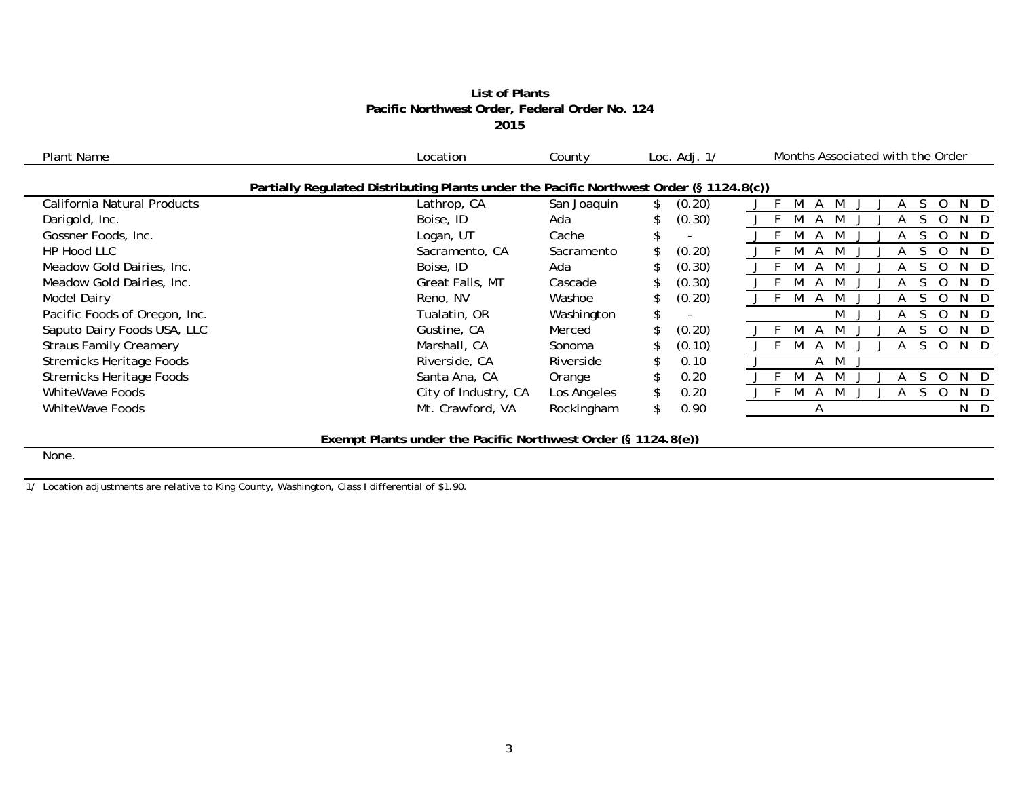# **List of Plants Pacific Northwest Order, Federal Order No. 124 2015**

| Plant Name                      | Location                                                                                | County      | Loc. $Adj. 1/$ | Months Associated with the Order |
|---------------------------------|-----------------------------------------------------------------------------------------|-------------|----------------|----------------------------------|
|                                 | Partially Regulated Distributing Plants under the Pacific Northwest Order (§ 1124.8(c)) |             |                |                                  |
| California Natural Products     | Lathrop, CA                                                                             | San Joaquin | (0.20)         | N<br>D                           |
| Darigold, Inc.                  | Boise, ID                                                                               | Ada         | (0.30)         | N.                               |
| Gossner Foods, Inc.             | Logan, UT                                                                               | Cache       |                | N<br>D                           |
| HP Hood LLC                     | Sacramento, CA                                                                          | Sacramento  | (0.20)<br>\$   | N<br>D                           |
| Meadow Gold Dairies, Inc.       | Boise, ID                                                                               | Ada         | (0.30)         | N.<br>- D                        |
| Meadow Gold Dairies, Inc.       | <b>Great Falls, MT</b>                                                                  | Cascade     | (0.30)         | N<br>D                           |
| <b>Model Dairy</b>              | Reno, NV                                                                                | Washoe      | (0.20)         | N.<br>- D<br>$\overline{A}$      |
| Pacific Foods of Oregon, Inc.   | Tualatin, OR                                                                            | Washington  | \$             | M<br>$\cdot$ D<br>N              |
| Saputo Dairy Foods USA, LLC     | Gustine, CA                                                                             | Merced      | (0.20)         | - D<br>N.                        |
| <b>Straus Family Creamery</b>   | Marshall, CA                                                                            | Sonoma      | (0.10)         | N.<br>$\Box$                     |
| <b>Stremicks Heritage Foods</b> | Riverside, CA                                                                           | Riverside   | 0.10           | M<br>A                           |
| <b>Stremicks Heritage Foods</b> | Santa Ana, CA                                                                           | Orange      | 0.20           | N D                              |
| <b>WhiteWave Foods</b>          | City of Industry, CA                                                                    | Los Angeles | 0.20           | $\cdot$ D<br>N.                  |
| WhiteWave Foods                 | Mt. Crawford, VA                                                                        | Rockingham  | 0.90<br>\$     | N D<br>A                         |
|                                 |                                                                                         |             |                |                                  |

**Exempt Plants under the Pacific Northwest Order (§ 1124.8(e))**

None.

1/ Location adjustments are relative to King County, Washington, Class I differential of \$1.90.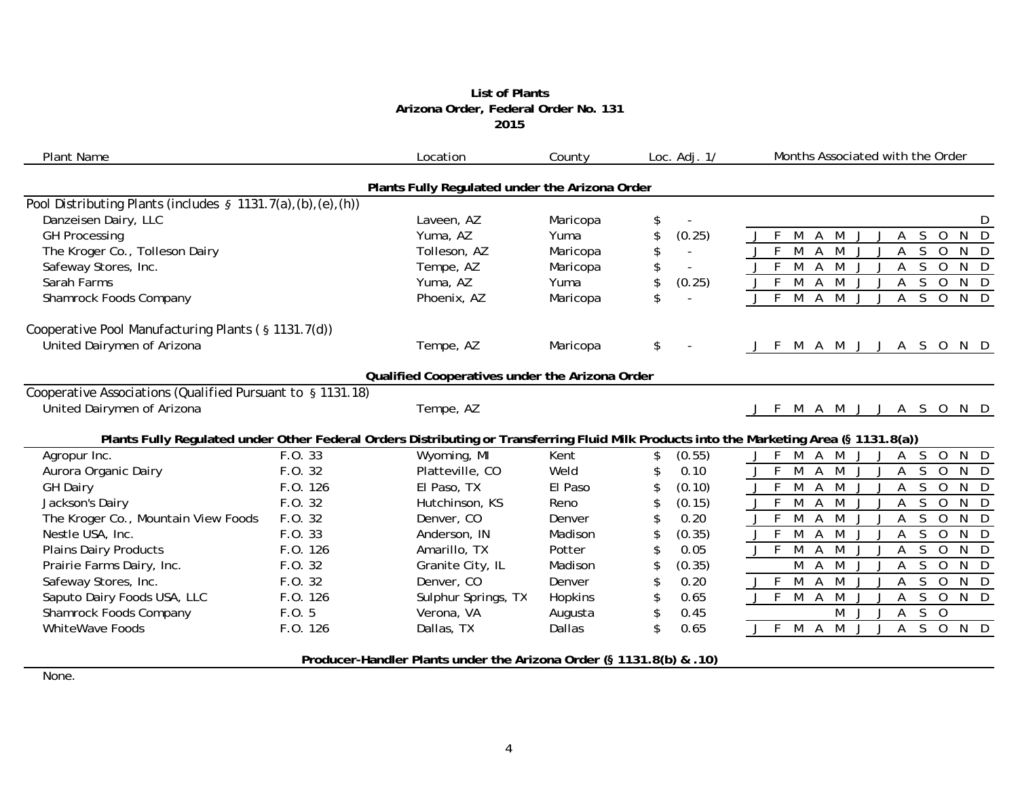## **List of Plants Arizona Order, Federal Order No. 131 2015**

| <b>Plant Name</b>                                              |          | Location                                                            | County   | Loc. Adj. 1/ | Months Associated with the Order                                                                                                         |
|----------------------------------------------------------------|----------|---------------------------------------------------------------------|----------|--------------|------------------------------------------------------------------------------------------------------------------------------------------|
|                                                                |          | Plants Fully Regulated under the Arizona Order                      |          |              |                                                                                                                                          |
| Pool Distributing Plants (includes $\S$ 1131.7(a),(b),(e),(h)) |          |                                                                     |          |              |                                                                                                                                          |
| Danzeisen Dairy, LLC                                           |          | Laveen, AZ                                                          | Maricopa | \$           | D                                                                                                                                        |
| <b>GH Processing</b>                                           |          | Yuma, AZ                                                            | Yuma     | \$<br>(0.25) | $\mathsf{N}$<br>D<br>S.<br>- F<br>M<br>M<br>$\Omega$<br>A                                                                                |
| The Kroger Co., Tolleson Dairy                                 |          | Tolleson, AZ                                                        | Maricopa | \$           | $\overline{F}$<br>$\mathsf{S}$<br>M<br>$\overline{A}$<br>M<br>$\overline{O}$<br>N D<br>A                                                 |
| Safeway Stores, Inc.                                           |          | Tempe, AZ                                                           | Maricopa | \$           | $-F$<br>M<br>$\mathsf{S}$<br>$\overline{0}$<br>N D<br>A<br>M<br>Α                                                                        |
| Sarah Farms                                                    |          | Yuma, AZ                                                            | Yuma     | \$<br>(0.25) | $J$ F<br>$\overline{M}$<br>$\overline{0}$<br>M<br>S.<br>N D<br>A<br>A                                                                    |
| Shamrock Foods Company                                         |          | Phoenix, AZ                                                         | Maricopa | \$           | $\overline{M}$<br>$\overline{\mathsf{S}}$<br>$\overline{0}$<br>N D<br>$J$ F<br>$\mathsf{A}$<br>M<br>A                                    |
| Cooperative Pool Manufacturing Plants (§ 1131.7(d))            |          |                                                                     |          |              |                                                                                                                                          |
| United Dairymen of Arizona                                     |          | Tempe, AZ                                                           | Maricopa | \$           | -F<br>M A M J J A S O N D                                                                                                                |
|                                                                |          | Qualified Cooperatives under the Arizona Order                      |          |              |                                                                                                                                          |
| Cooperative Associations (Qualified Pursuant to § 1131.18)     |          |                                                                     |          |              |                                                                                                                                          |
| United Dairymen of Arizona                                     |          | Tempe, AZ                                                           |          |              | A M J J A S O<br>N D<br>M<br>- F                                                                                                         |
|                                                                |          |                                                                     |          |              | Plants Fully Regulated under Other Federal Orders Distributing or Transferring Fluid Milk Products into the Marketing Area (§ 1131.8(a)) |
| Agropur Inc.                                                   | F.0.33   | Wyoming, MI                                                         | Kent     | (0.55)       | $\mathsf{F}$<br>M<br>N D<br>A<br>M<br>S<br>$\mathbf 0$                                                                                   |
| Aurora Organic Dairy                                           | F.0.32   | Platteville, CO                                                     | Weld     | 0.10         | E<br>S<br>$\overline{0}$<br>M<br>N D<br>A<br>M<br>А                                                                                      |
| <b>GH Dairy</b>                                                | F.0.126  | El Paso, TX                                                         | El Paso  | (0.10)       | F<br>$\mathsf{S}$<br>$\overline{O}$<br>N D<br>M<br>$\overline{A}$<br>M                                                                   |
| Jackson's Dairy                                                | F.O. 32  | Hutchinson, KS                                                      | Reno     | (0.15)       | $\sqrt{F}$<br>$\overline{M}$<br>$\overline{M}$<br>$\overline{0}$<br>$N$ D<br>$\overline{A}$<br>S<br>A                                    |
| The Kroger Co., Mountain View Foods                            | F.O. 32  | Denver, CO                                                          | Denver   | 0.20<br>\$   | F<br>M<br>$\overline{0}$<br>N<br>A<br>M<br>S<br>D<br>A                                                                                   |
| Nestle USA, Inc.                                               | F.0.33   | Anderson, IN                                                        | Madison  | (0.35)       | M<br>S<br>$J$ F<br>M<br>$\overline{O}$<br>$\mathsf{N}$<br>D<br>A                                                                         |
| <b>Plains Dairy Products</b>                                   | F.0.126  | Amarillo, TX                                                        | Potter   | 0.05         | $J$ F<br>$\mathsf{S}$<br>$\overline{0}$<br>M<br>$\overline{A}$<br>M<br>N D<br>A                                                          |
| Prairie Farms Dairy, Inc.                                      | F.O. 32  | Granite City, IL                                                    | Madison  | (0.35)       | M<br>$\mathsf{S}$<br>$\overline{0}$<br>$N$ D<br>M<br>A                                                                                   |
| Safeway Stores, Inc.                                           | F.O. 32  | Denver, CO                                                          | Denver   | 0.20<br>\$   | $J$ F<br>M<br>$\overline{0}$<br>$\overline{A}$<br>M<br><sub>S</sub><br>$N$ D<br>A                                                        |
| Saputo Dairy Foods USA, LLC                                    | F.O. 126 | Sulphur Springs, TX                                                 | Hopkins  | 0.65<br>\$   | J F M<br>$\mathsf{A}$<br>M<br>S.<br>O N D<br>Α                                                                                           |
| Shamrock Foods Company                                         | F.0.5    | Verona, VA                                                          | Augusta  | 0.45<br>\$   | M<br>$S$ 0<br>A                                                                                                                          |
| WhiteWave Foods                                                | F.O. 126 | Dallas, TX                                                          | Dallas   | \$<br>0.65   | M J<br>A S O N D<br>M A<br>J F<br>J                                                                                                      |
|                                                                |          | Producer-Handler Plants under the Arizona Order (§ 1131.8(b) & .10) |          |              |                                                                                                                                          |

None.